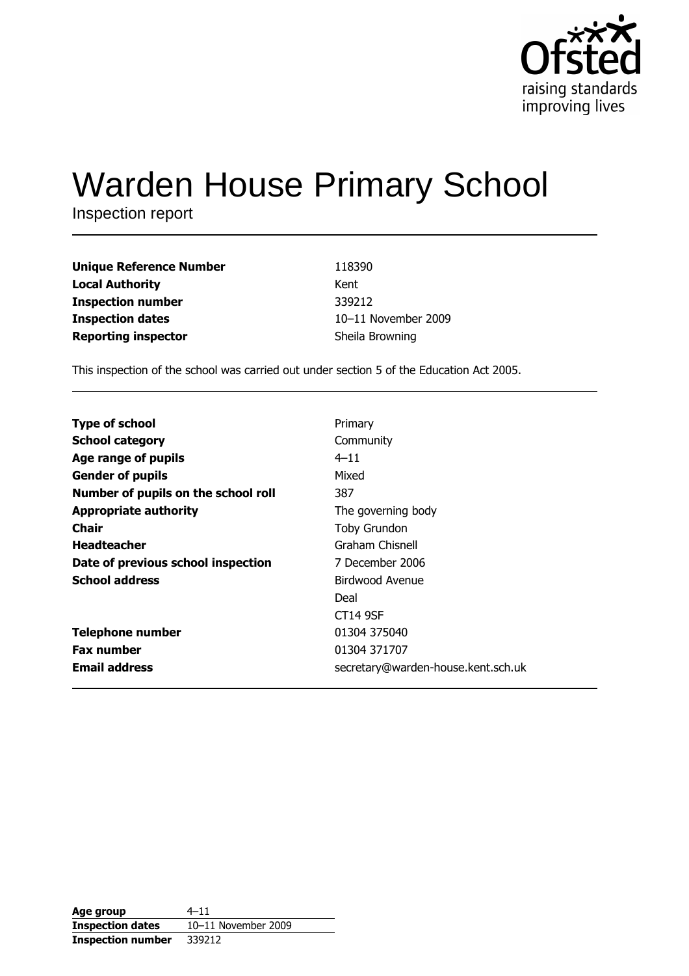

# **Warden House Primary School**

Inspection report

| <b>Unique Reference Number</b> | 118390              |
|--------------------------------|---------------------|
| <b>Local Authority</b>         | Kent                |
| <b>Inspection number</b>       | 339212              |
| <b>Inspection dates</b>        | 10-11 November 2009 |
| <b>Reporting inspector</b>     | Sheila Browning     |

This inspection of the school was carried out under section 5 of the Education Act 2005.

| Primary<br>Community<br>$4 - 11$<br>Mixed<br>387<br>The governing body<br>Toby Grundon<br>Graham Chisnell<br>7 December 2006<br>Birdwood Avenue<br>Deal<br>CT14 9SF<br>01304 375040<br>01304 371707 |                                     |                                    |
|-----------------------------------------------------------------------------------------------------------------------------------------------------------------------------------------------------|-------------------------------------|------------------------------------|
|                                                                                                                                                                                                     | <b>Type of school</b>               |                                    |
|                                                                                                                                                                                                     | <b>School category</b>              |                                    |
|                                                                                                                                                                                                     | Age range of pupils                 |                                    |
|                                                                                                                                                                                                     | <b>Gender of pupils</b>             |                                    |
|                                                                                                                                                                                                     | Number of pupils on the school roll |                                    |
|                                                                                                                                                                                                     | <b>Appropriate authority</b>        |                                    |
|                                                                                                                                                                                                     | Chair                               |                                    |
|                                                                                                                                                                                                     | <b>Headteacher</b>                  |                                    |
|                                                                                                                                                                                                     | Date of previous school inspection  |                                    |
|                                                                                                                                                                                                     | <b>School address</b>               |                                    |
|                                                                                                                                                                                                     |                                     |                                    |
|                                                                                                                                                                                                     |                                     |                                    |
|                                                                                                                                                                                                     | <b>Telephone number</b>             |                                    |
|                                                                                                                                                                                                     | <b>Fax number</b>                   |                                    |
|                                                                                                                                                                                                     | <b>Email address</b>                | secretary@warden-house.kent.sch.uk |

| Age group                | 4–11                |
|--------------------------|---------------------|
| <b>Inspection dates</b>  | 10-11 November 2009 |
| <b>Inspection number</b> | 339212              |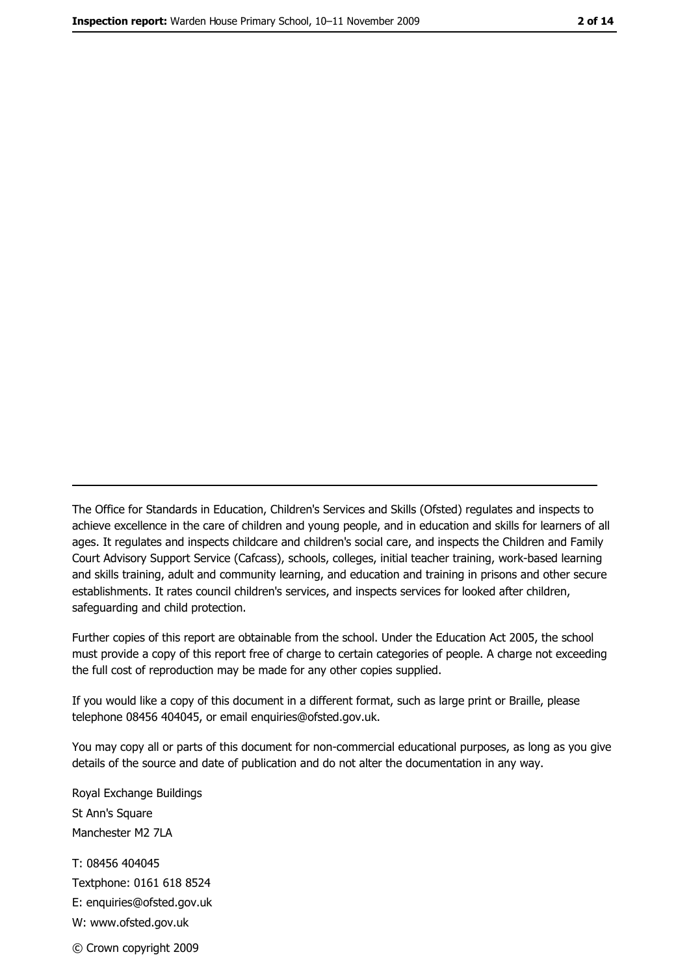The Office for Standards in Education, Children's Services and Skills (Ofsted) regulates and inspects to achieve excellence in the care of children and young people, and in education and skills for learners of all ages. It regulates and inspects childcare and children's social care, and inspects the Children and Family Court Advisory Support Service (Cafcass), schools, colleges, initial teacher training, work-based learning and skills training, adult and community learning, and education and training in prisons and other secure establishments. It rates council children's services, and inspects services for looked after children, safequarding and child protection.

Further copies of this report are obtainable from the school. Under the Education Act 2005, the school must provide a copy of this report free of charge to certain categories of people. A charge not exceeding the full cost of reproduction may be made for any other copies supplied.

If you would like a copy of this document in a different format, such as large print or Braille, please telephone 08456 404045, or email enquiries@ofsted.gov.uk.

You may copy all or parts of this document for non-commercial educational purposes, as long as you give details of the source and date of publication and do not alter the documentation in any way.

Royal Exchange Buildings St Ann's Square Manchester M2 7LA T: 08456 404045 Textphone: 0161 618 8524 E: enquiries@ofsted.gov.uk W: www.ofsted.gov.uk © Crown copyright 2009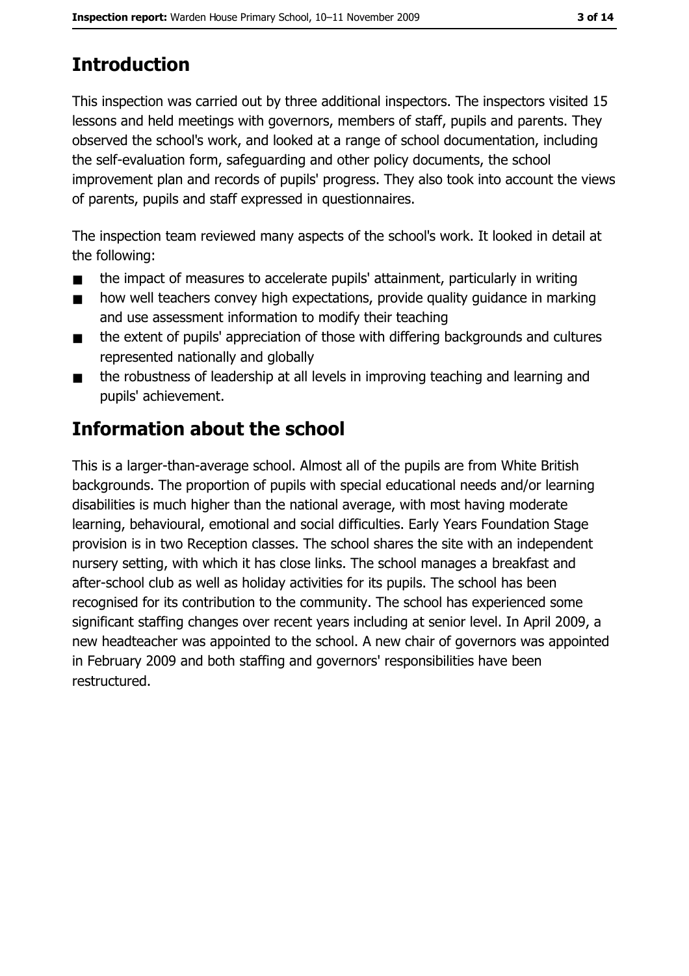# **Introduction**

This inspection was carried out by three additional inspectors. The inspectors visited 15 lessons and held meetings with governors, members of staff, pupils and parents. They observed the school's work, and looked at a range of school documentation, including the self-evaluation form, safeguarding and other policy documents, the school improvement plan and records of pupils' progress. They also took into account the views of parents, pupils and staff expressed in questionnaires.

The inspection team reviewed many aspects of the school's work. It looked in detail at the following:

- the impact of measures to accelerate pupils' attainment, particularly in writing  $\blacksquare$
- how well teachers convey high expectations, provide quality quidance in marking  $\blacksquare$ and use assessment information to modify their teaching
- the extent of pupils' appreciation of those with differing backgrounds and cultures  $\blacksquare$ represented nationally and globally
- the robustness of leadership at all levels in improving teaching and learning and  $\blacksquare$ pupils' achievement.

# **Information about the school**

This is a larger-than-average school. Almost all of the pupils are from White British backgrounds. The proportion of pupils with special educational needs and/or learning disabilities is much higher than the national average, with most having moderate learning, behavioural, emotional and social difficulties. Early Years Foundation Stage provision is in two Reception classes. The school shares the site with an independent nursery setting, with which it has close links. The school manages a breakfast and after-school club as well as holiday activities for its pupils. The school has been recognised for its contribution to the community. The school has experienced some significant staffing changes over recent years including at senior level. In April 2009, a new headteacher was appointed to the school. A new chair of governors was appointed in February 2009 and both staffing and governors' responsibilities have been restructured.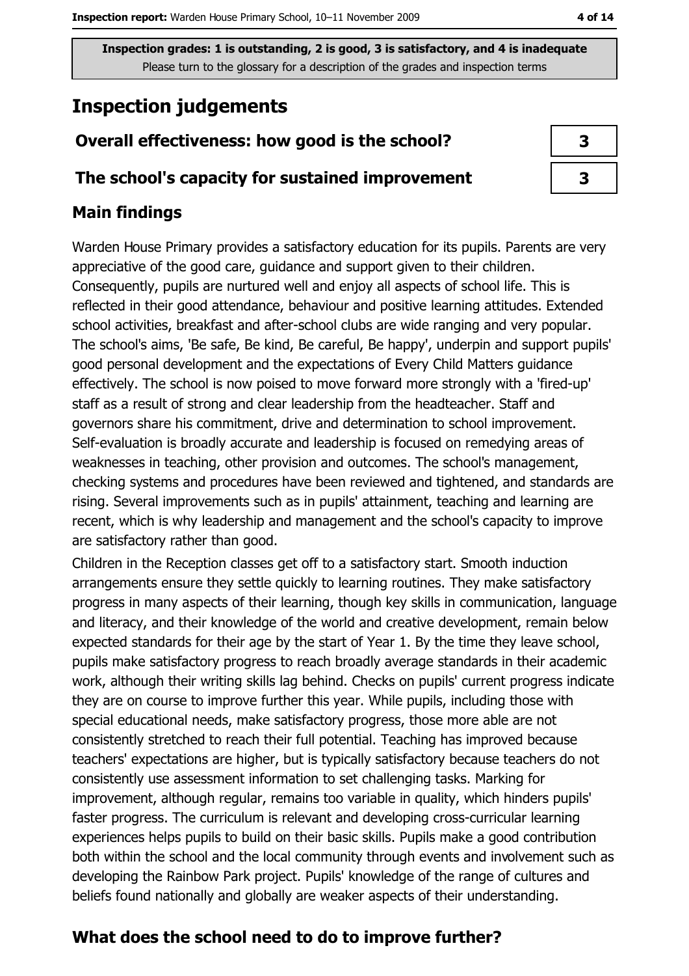# **Inspection judgements**

### Overall effectiveness: how good is the school?

#### The school's capacity for sustained improvement

## **Main findings**

Warden House Primary provides a satisfactory education for its pupils. Parents are very appreciative of the good care, guidance and support given to their children. Consequently, pupils are nurtured well and enjoy all aspects of school life. This is reflected in their good attendance, behaviour and positive learning attitudes. Extended school activities, breakfast and after-school clubs are wide ranging and very popular. The school's aims, 'Be safe, Be kind, Be careful, Be happy', underpin and support pupils' good personal development and the expectations of Every Child Matters guidance effectively. The school is now poised to move forward more strongly with a 'fired-up' staff as a result of strong and clear leadership from the headteacher. Staff and governors share his commitment, drive and determination to school improvement. Self-evaluation is broadly accurate and leadership is focused on remedying areas of weaknesses in teaching, other provision and outcomes. The school's management, checking systems and procedures have been reviewed and tightened, and standards are rising. Several improvements such as in pupils' attainment, teaching and learning are recent, which is why leadership and management and the school's capacity to improve are satisfactory rather than good.

Children in the Reception classes get off to a satisfactory start. Smooth induction arrangements ensure they settle quickly to learning routines. They make satisfactory progress in many aspects of their learning, though key skills in communication, language and literacy, and their knowledge of the world and creative development, remain below expected standards for their age by the start of Year 1. By the time they leave school, pupils make satisfactory progress to reach broadly average standards in their academic work, although their writing skills lag behind. Checks on pupils' current progress indicate they are on course to improve further this year. While pupils, including those with special educational needs, make satisfactory progress, those more able are not consistently stretched to reach their full potential. Teaching has improved because teachers' expectations are higher, but is typically satisfactory because teachers do not consistently use assessment information to set challenging tasks. Marking for improvement, although regular, remains too variable in quality, which hinders pupils' faster progress. The curriculum is relevant and developing cross-curricular learning experiences helps pupils to build on their basic skills. Pupils make a good contribution both within the school and the local community through events and involvement such as developing the Rainbow Park project. Pupils' knowledge of the range of cultures and beliefs found nationally and globally are weaker aspects of their understanding.

## What does the school need to do to improve further?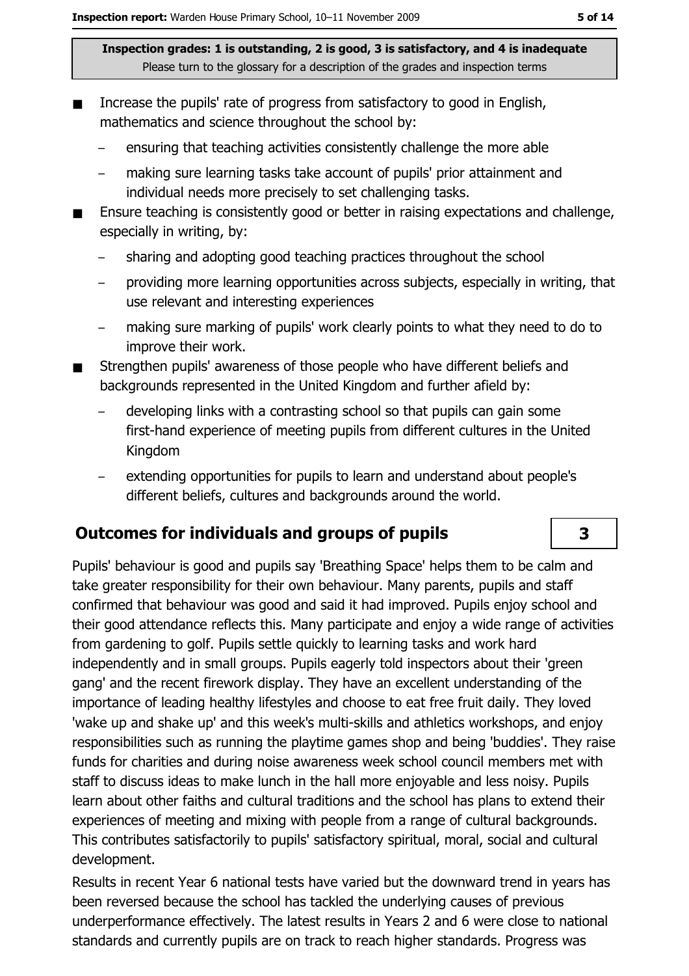- Increase the pupils' rate of progress from satisfactory to good in English,  $\blacksquare$ mathematics and science throughout the school by:
	- ensuring that teaching activities consistently challenge the more able
	- making sure learning tasks take account of pupils' prior attainment and individual needs more precisely to set challenging tasks.
- Ensure teaching is consistently good or better in raising expectations and challenge, especially in writing, by:
	- sharing and adopting good teaching practices throughout the school
	- providing more learning opportunities across subjects, especially in writing, that use relevant and interesting experiences
	- making sure marking of pupils' work clearly points to what they need to do to improve their work.
- Strengthen pupils' awareness of those people who have different beliefs and backgrounds represented in the United Kingdom and further afield by:
	- developing links with a contrasting school so that pupils can gain some first-hand experience of meeting pupils from different cultures in the United Kingdom
	- extending opportunities for pupils to learn and understand about people's different beliefs, cultures and backgrounds around the world.

### **Outcomes for individuals and groups of pupils**

Pupils' behaviour is good and pupils say 'Breathing Space' helps them to be calm and take greater responsibility for their own behaviour. Many parents, pupils and staff confirmed that behaviour was good and said it had improved. Pupils enjoy school and their good attendance reflects this. Many participate and enjoy a wide range of activities from gardening to golf. Pupils settle guickly to learning tasks and work hard independently and in small groups. Pupils eagerly told inspectors about their 'green gang' and the recent firework display. They have an excellent understanding of the importance of leading healthy lifestyles and choose to eat free fruit daily. They loved 'wake up and shake up' and this week's multi-skills and athletics workshops, and enjoy responsibilities such as running the playtime games shop and being 'buddies'. They raise funds for charities and during noise awareness week school council members met with staff to discuss ideas to make lunch in the hall more enjoyable and less noisy. Pupils learn about other faiths and cultural traditions and the school has plans to extend their experiences of meeting and mixing with people from a range of cultural backgrounds. This contributes satisfactorily to pupils' satisfactory spiritual, moral, social and cultural development.

Results in recent Year 6 national tests have varied but the downward trend in years has been reversed because the school has tackled the underlying causes of previous underperformance effectively. The latest results in Years 2 and 6 were close to national standards and currently pupils are on track to reach higher standards. Progress was

# 3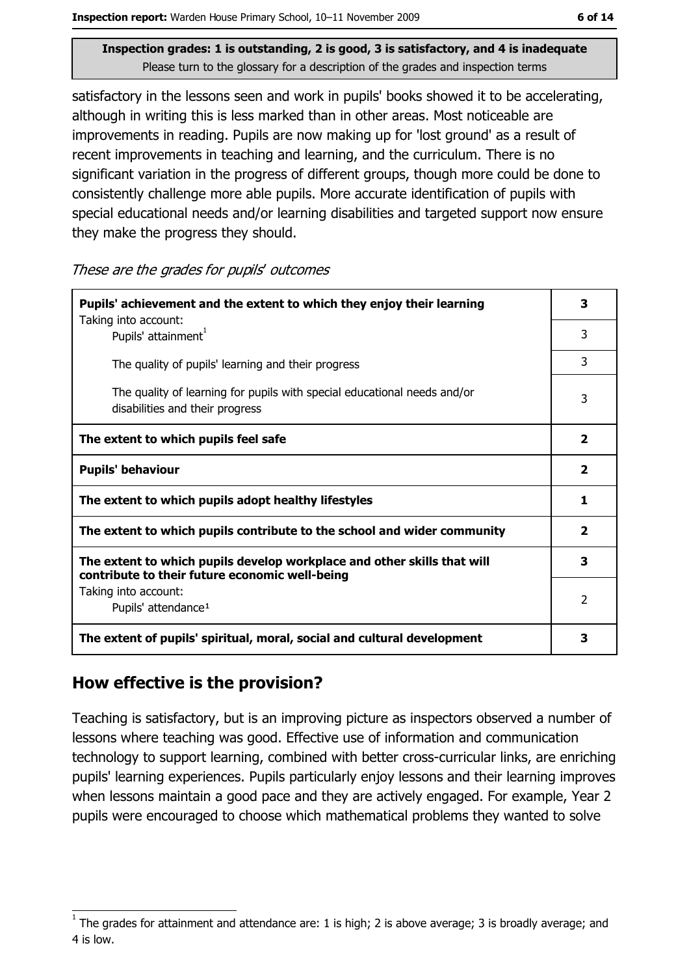satisfactory in the lessons seen and work in pupils' books showed it to be accelerating, although in writing this is less marked than in other areas. Most noticeable are improvements in reading. Pupils are now making up for 'lost ground' as a result of recent improvements in teaching and learning, and the curriculum. There is no significant variation in the progress of different groups, though more could be done to consistently challenge more able pupils. More accurate identification of pupils with special educational needs and/or learning disabilities and targeted support now ensure they make the progress they should.

These are the grades for pupils' outcomes

| Pupils' achievement and the extent to which they enjoy their learning                                                     |                         |  |
|---------------------------------------------------------------------------------------------------------------------------|-------------------------|--|
| Taking into account:<br>Pupils' attainment <sup>1</sup>                                                                   | 3                       |  |
| The quality of pupils' learning and their progress                                                                        | 3                       |  |
| The quality of learning for pupils with special educational needs and/or<br>disabilities and their progress               | 3                       |  |
| The extent to which pupils feel safe                                                                                      | $\mathbf{2}$            |  |
| <b>Pupils' behaviour</b>                                                                                                  | $\overline{\mathbf{2}}$ |  |
| The extent to which pupils adopt healthy lifestyles                                                                       | 1                       |  |
| The extent to which pupils contribute to the school and wider community                                                   |                         |  |
| The extent to which pupils develop workplace and other skills that will<br>contribute to their future economic well-being |                         |  |
| Taking into account:<br>Pupils' attendance <sup>1</sup>                                                                   |                         |  |
| The extent of pupils' spiritual, moral, social and cultural development                                                   |                         |  |

#### How effective is the provision?

Teaching is satisfactory, but is an improving picture as inspectors observed a number of lessons where teaching was good. Effective use of information and communication technology to support learning, combined with better cross-curricular links, are enriching pupils' learning experiences. Pupils particularly enjoy lessons and their learning improves when lessons maintain a good pace and they are actively engaged. For example, Year 2 pupils were encouraged to choose which mathematical problems they wanted to solve

The grades for attainment and attendance are: 1 is high; 2 is above average; 3 is broadly average; and 4 is low.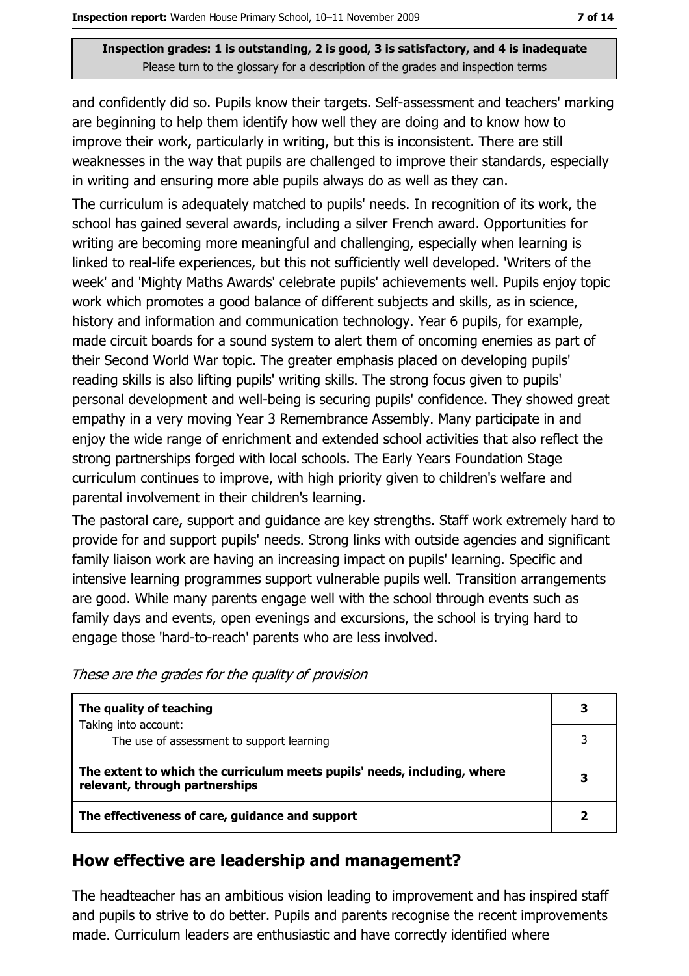and confidently did so. Pupils know their targets. Self-assessment and teachers' marking are beginning to help them identify how well they are doing and to know how to improve their work, particularly in writing, but this is inconsistent. There are still weaknesses in the way that pupils are challenged to improve their standards, especially in writing and ensuring more able pupils always do as well as they can.

The curriculum is adequately matched to pupils' needs. In recognition of its work, the school has gained several awards, including a silver French award. Opportunities for writing are becoming more meaningful and challenging, especially when learning is linked to real-life experiences, but this not sufficiently well developed. 'Writers of the week' and 'Mighty Maths Awards' celebrate pupils' achievements well. Pupils enjoy topic work which promotes a good balance of different subjects and skills, as in science, history and information and communication technology. Year 6 pupils, for example, made circuit boards for a sound system to alert them of oncoming enemies as part of their Second World War topic. The greater emphasis placed on developing pupils' reading skills is also lifting pupils' writing skills. The strong focus given to pupils' personal development and well-being is securing pupils' confidence. They showed great empathy in a very moving Year 3 Remembrance Assembly. Many participate in and enjoy the wide range of enrichment and extended school activities that also reflect the strong partnerships forged with local schools. The Early Years Foundation Stage curriculum continues to improve, with high priority given to children's welfare and parental involvement in their children's learning.

The pastoral care, support and quidance are key strengths. Staff work extremely hard to provide for and support pupils' needs. Strong links with outside agencies and significant family liaison work are having an increasing impact on pupils' learning. Specific and intensive learning programmes support vulnerable pupils well. Transition arrangements are good. While many parents engage well with the school through events such as family days and events, open evenings and excursions, the school is trying hard to engage those 'hard-to-reach' parents who are less involved.

| These are the grades for the quality of provision |  |  |  |
|---------------------------------------------------|--|--|--|
|                                                   |  |  |  |

| The quality of teaching                                                                                    |  |
|------------------------------------------------------------------------------------------------------------|--|
| Taking into account:<br>The use of assessment to support learning                                          |  |
| The extent to which the curriculum meets pupils' needs, including, where<br>relevant, through partnerships |  |
| The effectiveness of care, guidance and support                                                            |  |

### How effective are leadership and management?

The headteacher has an ambitious vision leading to improvement and has inspired staff and pupils to strive to do better. Pupils and parents recognise the recent improvements made. Curriculum leaders are enthusiastic and have correctly identified where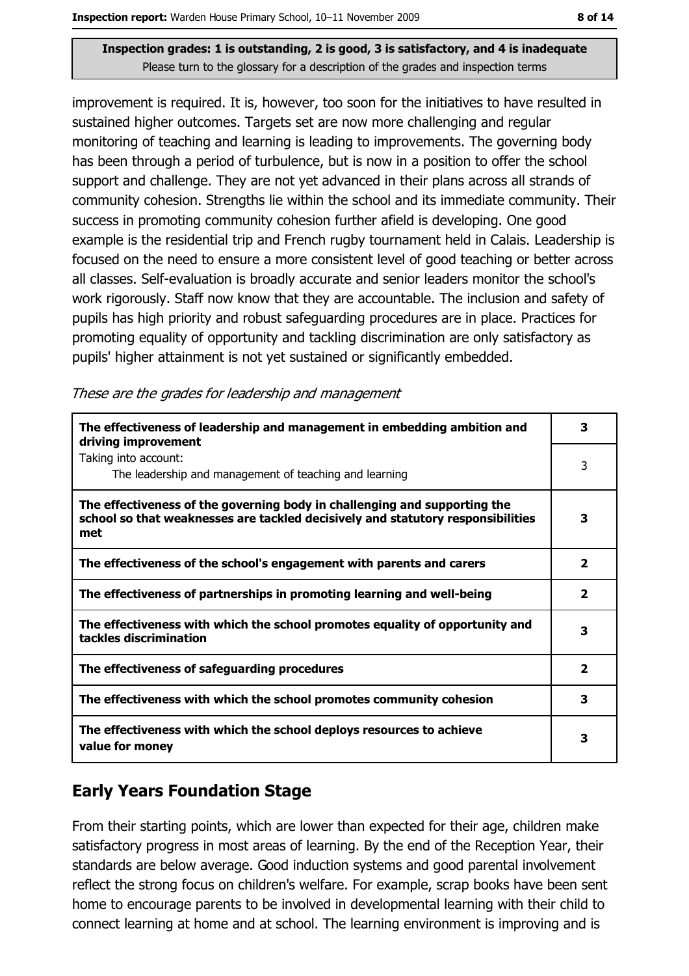improvement is required. It is, however, too soon for the initiatives to have resulted in sustained higher outcomes. Targets set are now more challenging and regular monitoring of teaching and learning is leading to improvements. The governing body has been through a period of turbulence, but is now in a position to offer the school support and challenge. They are not yet advanced in their plans across all strands of community cohesion. Strengths lie within the school and its immediate community. Their success in promoting community cohesion further afield is developing. One good example is the residential trip and French rugby tournament held in Calais. Leadership is focused on the need to ensure a more consistent level of good teaching or better across all classes. Self-evaluation is broadly accurate and senior leaders monitor the school's work rigorously. Staff now know that they are accountable. The inclusion and safety of pupils has high priority and robust safeguarding procedures are in place. Practices for promoting equality of opportunity and tackling discrimination are only satisfactory as pupils' higher attainment is not yet sustained or significantly embedded.

|  | These are the grades for leadership and management |
|--|----------------------------------------------------|
|  |                                                    |

| The effectiveness of leadership and management in embedding ambition and<br>driving improvement                                                                     |                         |  |  |
|---------------------------------------------------------------------------------------------------------------------------------------------------------------------|-------------------------|--|--|
| Taking into account:<br>The leadership and management of teaching and learning                                                                                      | 3                       |  |  |
| The effectiveness of the governing body in challenging and supporting the<br>school so that weaknesses are tackled decisively and statutory responsibilities<br>met | 3                       |  |  |
| The effectiveness of the school's engagement with parents and carers                                                                                                | $\overline{\mathbf{2}}$ |  |  |
| The effectiveness of partnerships in promoting learning and well-being                                                                                              | $\overline{\mathbf{2}}$ |  |  |
| The effectiveness with which the school promotes equality of opportunity and<br>tackles discrimination                                                              | 3                       |  |  |
| The effectiveness of safeguarding procedures                                                                                                                        | $\overline{\mathbf{2}}$ |  |  |
| The effectiveness with which the school promotes community cohesion                                                                                                 | 3                       |  |  |
| The effectiveness with which the school deploys resources to achieve<br>value for money                                                                             | з                       |  |  |

# **Early Years Foundation Stage**

From their starting points, which are lower than expected for their age, children make satisfactory progress in most areas of learning. By the end of the Reception Year, their standards are below average. Good induction systems and good parental involvement reflect the strong focus on children's welfare. For example, scrap books have been sent home to encourage parents to be involved in developmental learning with their child to connect learning at home and at school. The learning environment is improving and is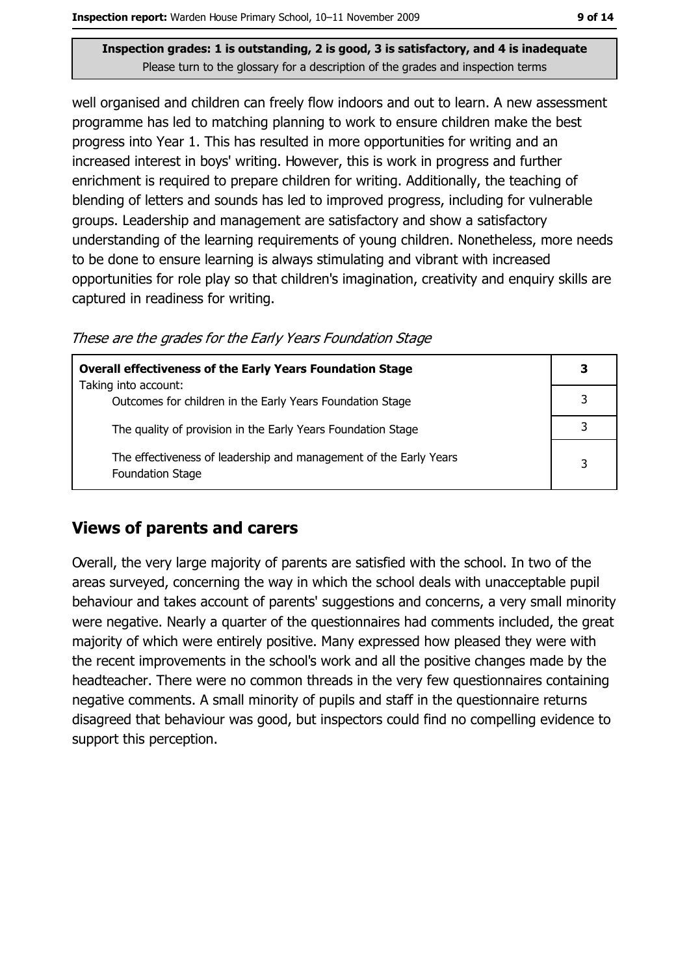well organised and children can freely flow indoors and out to learn. A new assessment programme has led to matching planning to work to ensure children make the best progress into Year 1. This has resulted in more opportunities for writing and an increased interest in boys' writing. However, this is work in progress and further enrichment is required to prepare children for writing. Additionally, the teaching of blending of letters and sounds has led to improved progress, including for vulnerable groups. Leadership and management are satisfactory and show a satisfactory understanding of the learning requirements of young children. Nonetheless, more needs to be done to ensure learning is always stimulating and vibrant with increased opportunities for role play so that children's imagination, creativity and enguiry skills are captured in readiness for writing.

These are the grades for the Early Years Foundation Stage

| <b>Overall effectiveness of the Early Years Foundation Stage</b>                             | 3 |
|----------------------------------------------------------------------------------------------|---|
| Taking into account:<br>Outcomes for children in the Early Years Foundation Stage            |   |
| The quality of provision in the Early Years Foundation Stage                                 |   |
| The effectiveness of leadership and management of the Early Years<br><b>Foundation Stage</b> | 3 |

### **Views of parents and carers**

Overall, the very large majority of parents are satisfied with the school. In two of the areas surveyed, concerning the way in which the school deals with unacceptable pupil behaviour and takes account of parents' suggestions and concerns, a very small minority were negative. Nearly a quarter of the questionnaires had comments included, the great majority of which were entirely positive. Many expressed how pleased they were with the recent improvements in the school's work and all the positive changes made by the headteacher. There were no common threads in the very few questionnaires containing negative comments. A small minority of pupils and staff in the questionnaire returns disagreed that behaviour was good, but inspectors could find no compelling evidence to support this perception.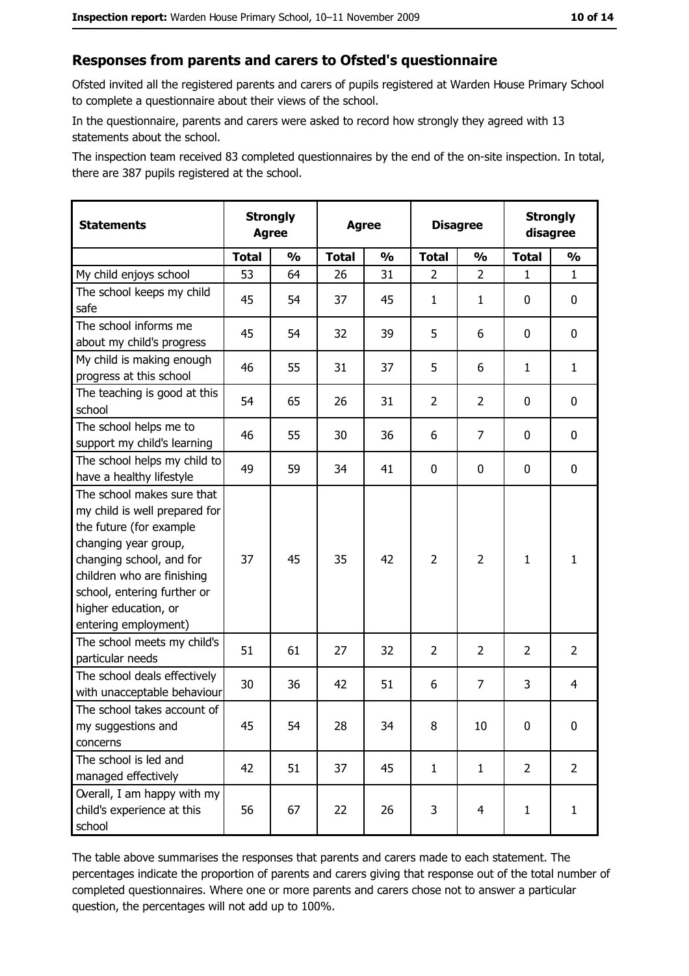#### Responses from parents and carers to Ofsted's questionnaire

Ofsted invited all the registered parents and carers of pupils registered at Warden House Primary School to complete a questionnaire about their views of the school.

In the questionnaire, parents and carers were asked to record how strongly they agreed with 13 statements about the school.

The inspection team received 83 completed questionnaires by the end of the on-site inspection. In total, there are 387 pupils registered at the school.

| <b>Statements</b>                                                                                                                                                                                                                                       |              | <b>Strongly</b><br><b>Agree</b> |              | <b>Agree</b>  |                | <b>Disagree</b> |                | <b>Strongly</b><br>disagree |
|---------------------------------------------------------------------------------------------------------------------------------------------------------------------------------------------------------------------------------------------------------|--------------|---------------------------------|--------------|---------------|----------------|-----------------|----------------|-----------------------------|
|                                                                                                                                                                                                                                                         | <b>Total</b> | $\frac{1}{2}$                   | <b>Total</b> | $\frac{0}{0}$ | <b>Total</b>   | $\frac{0}{0}$   | <b>Total</b>   | $\frac{1}{2}$               |
| My child enjoys school                                                                                                                                                                                                                                  | 53           | 64                              | 26           | 31            | 2              | $\overline{2}$  | $\mathbf{1}$   | $\mathbf{1}$                |
| The school keeps my child<br>safe                                                                                                                                                                                                                       | 45           | 54                              | 37           | 45            | $\mathbf{1}$   | 1               | 0              | 0                           |
| The school informs me<br>about my child's progress                                                                                                                                                                                                      | 45           | 54                              | 32           | 39            | 5              | 6               | $\mathbf{0}$   | 0                           |
| My child is making enough<br>progress at this school                                                                                                                                                                                                    | 46           | 55                              | 31           | 37            | 5              | 6               | $\mathbf{1}$   | $\mathbf{1}$                |
| The teaching is good at this<br>school                                                                                                                                                                                                                  | 54           | 65                              | 26           | 31            | $\overline{2}$ | $\overline{2}$  | 0              | 0                           |
| The school helps me to<br>support my child's learning                                                                                                                                                                                                   | 46           | 55                              | 30           | 36            | 6              | 7               | 0              | 0                           |
| The school helps my child to<br>have a healthy lifestyle                                                                                                                                                                                                | 49           | 59                              | 34           | 41            | $\mathbf 0$    | 0               | 0              | 0                           |
| The school makes sure that<br>my child is well prepared for<br>the future (for example<br>changing year group,<br>changing school, and for<br>children who are finishing<br>school, entering further or<br>higher education, or<br>entering employment) | 37           | 45                              | 35           | 42            | $\overline{2}$ | $\overline{2}$  | $\mathbf{1}$   | $\mathbf{1}$                |
| The school meets my child's<br>particular needs                                                                                                                                                                                                         | 51           | 61                              | 27           | 32            | $\overline{2}$ | $\overline{2}$  | 2              | $\overline{2}$              |
| The school deals effectively<br>with unacceptable behaviour                                                                                                                                                                                             | 30           | 36                              | 42           | 51            | 6              | $\overline{7}$  | 3              | 4                           |
| The school takes account of<br>my suggestions and<br>concerns                                                                                                                                                                                           | 45           | 54                              | 28           | 34            | 8              | 10              | 0              | 0                           |
| The school is led and<br>managed effectively                                                                                                                                                                                                            | 42           | 51                              | 37           | 45            | $\mathbf{1}$   | $\mathbf{1}$    | $\overline{2}$ | $\overline{2}$              |
| Overall, I am happy with my<br>child's experience at this<br>school                                                                                                                                                                                     | 56           | 67                              | 22           | 26            | 3              | $\overline{4}$  | $\mathbf{1}$   | $\mathbf{1}$                |

The table above summarises the responses that parents and carers made to each statement. The percentages indicate the proportion of parents and carers giving that response out of the total number of completed questionnaires. Where one or more parents and carers chose not to answer a particular question, the percentages will not add up to 100%.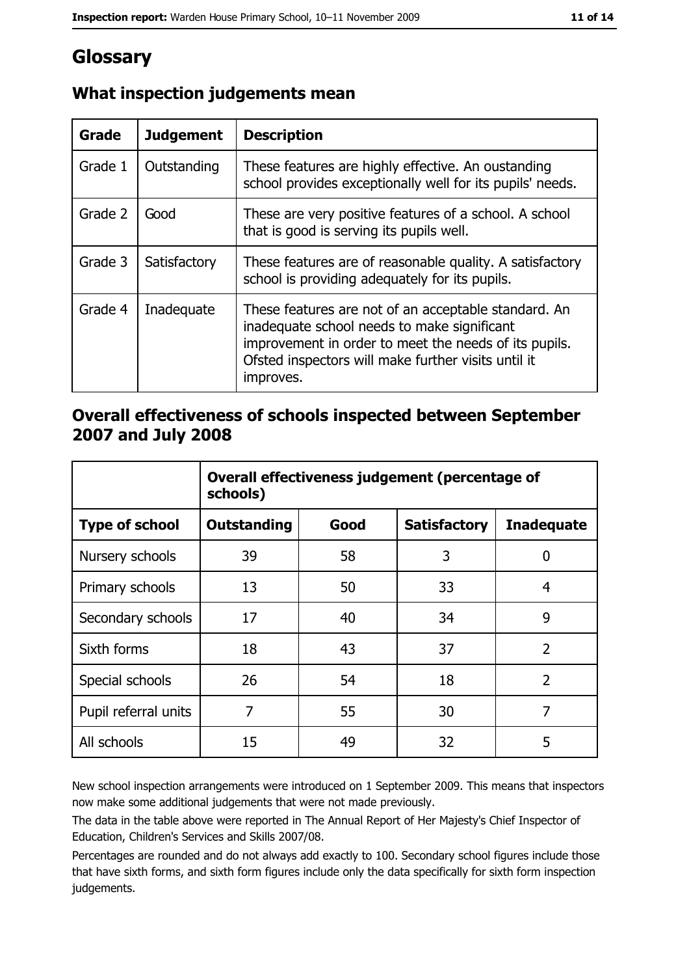# Glossary

| <b>Grade</b> | <b>Judgement</b> | <b>Description</b>                                                                                                                                                                                                               |
|--------------|------------------|----------------------------------------------------------------------------------------------------------------------------------------------------------------------------------------------------------------------------------|
| Grade 1      | Outstanding      | These features are highly effective. An oustanding<br>school provides exceptionally well for its pupils' needs.                                                                                                                  |
| Grade 2      | Good             | These are very positive features of a school. A school<br>that is good is serving its pupils well.                                                                                                                               |
| Grade 3      | Satisfactory     | These features are of reasonable quality. A satisfactory<br>school is providing adequately for its pupils.                                                                                                                       |
| Grade 4      | Inadequate       | These features are not of an acceptable standard. An<br>inadequate school needs to make significant<br>improvement in order to meet the needs of its pupils.<br>Ofsted inspectors will make further visits until it<br>improves. |

# What inspection judgements mean

### Overall effectiveness of schools inspected between September 2007 and July 2008

|                       | Overall effectiveness judgement (percentage of<br>schools) |      |                     |                   |  |
|-----------------------|------------------------------------------------------------|------|---------------------|-------------------|--|
| <b>Type of school</b> | <b>Outstanding</b>                                         | Good | <b>Satisfactory</b> | <b>Inadequate</b> |  |
| Nursery schools       | 39                                                         | 58   | 3                   | 0                 |  |
| Primary schools       | 13                                                         | 50   | 33                  | 4                 |  |
| Secondary schools     | 17                                                         | 40   | 34                  | 9                 |  |
| Sixth forms           | 18                                                         | 43   | 37                  | $\overline{2}$    |  |
| Special schools       | 26                                                         | 54   | 18                  | $\overline{2}$    |  |
| Pupil referral units  | 7                                                          | 55   | 30                  | 7                 |  |
| All schools           | 15                                                         | 49   | 32                  | 5                 |  |

New school inspection arrangements were introduced on 1 September 2009. This means that inspectors now make some additional judgements that were not made previously.

The data in the table above were reported in The Annual Report of Her Majesty's Chief Inspector of Education, Children's Services and Skills 2007/08.

Percentages are rounded and do not always add exactly to 100. Secondary school figures include those that have sixth forms, and sixth form figures include only the data specifically for sixth form inspection judgements.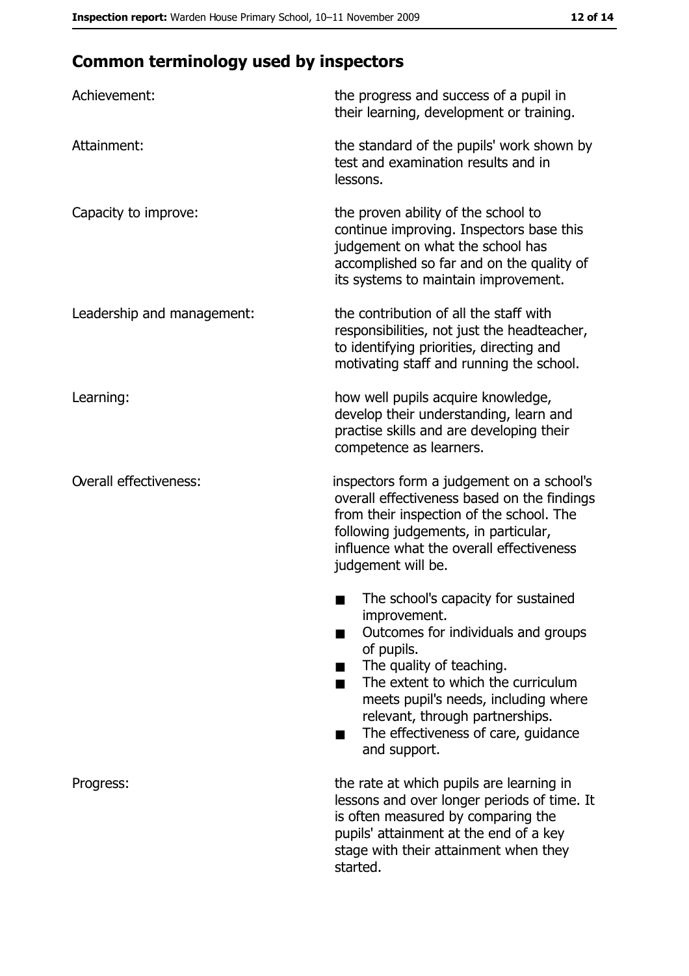# **Common terminology used by inspectors**

| Achievement:                  | the progress and success of a pupil in<br>their learning, development or training.                                                                                                                                                                                                                           |
|-------------------------------|--------------------------------------------------------------------------------------------------------------------------------------------------------------------------------------------------------------------------------------------------------------------------------------------------------------|
| Attainment:                   | the standard of the pupils' work shown by<br>test and examination results and in<br>lessons.                                                                                                                                                                                                                 |
| Capacity to improve:          | the proven ability of the school to<br>continue improving. Inspectors base this<br>judgement on what the school has<br>accomplished so far and on the quality of<br>its systems to maintain improvement.                                                                                                     |
| Leadership and management:    | the contribution of all the staff with<br>responsibilities, not just the headteacher,<br>to identifying priorities, directing and<br>motivating staff and running the school.                                                                                                                                |
| Learning:                     | how well pupils acquire knowledge,<br>develop their understanding, learn and<br>practise skills and are developing their<br>competence as learners.                                                                                                                                                          |
| <b>Overall effectiveness:</b> | inspectors form a judgement on a school's<br>overall effectiveness based on the findings<br>from their inspection of the school. The<br>following judgements, in particular,<br>influence what the overall effectiveness<br>judgement will be.                                                               |
|                               | The school's capacity for sustained<br>improvement.<br>Outcomes for individuals and groups<br>of pupils.<br>The quality of teaching.<br>The extent to which the curriculum<br>meets pupil's needs, including where<br>relevant, through partnerships.<br>The effectiveness of care, guidance<br>and support. |
| Progress:                     | the rate at which pupils are learning in<br>lessons and over longer periods of time. It<br>is often measured by comparing the<br>pupils' attainment at the end of a key<br>stage with their attainment when they<br>started.                                                                                 |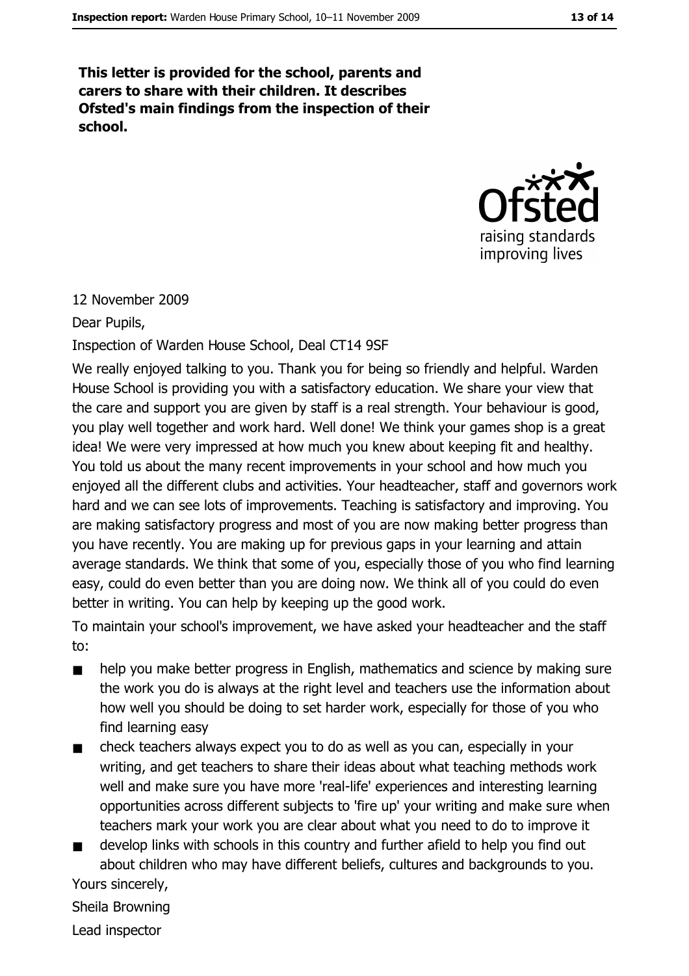This letter is provided for the school, parents and carers to share with their children. It describes Ofsted's main findings from the inspection of their school.



#### 12 November 2009

Dear Pupils,

Inspection of Warden House School, Deal CT14 9SF

We really enjoyed talking to you. Thank you for being so friendly and helpful. Warden House School is providing you with a satisfactory education. We share your view that the care and support you are given by staff is a real strength. Your behaviour is good, you play well together and work hard. Well done! We think your games shop is a great idea! We were very impressed at how much you knew about keeping fit and healthy. You told us about the many recent improvements in your school and how much you enjoyed all the different clubs and activities. Your headteacher, staff and governors work hard and we can see lots of improvements. Teaching is satisfactory and improving. You are making satisfactory progress and most of you are now making better progress than you have recently. You are making up for previous gaps in your learning and attain average standards. We think that some of you, especially those of you who find learning easy, could do even better than you are doing now. We think all of you could do even better in writing. You can help by keeping up the good work.

To maintain your school's improvement, we have asked your headteacher and the staff to:

- help you make better progress in English, mathematics and science by making sure  $\blacksquare$ the work you do is always at the right level and teachers use the information about how well you should be doing to set harder work, especially for those of you who find learning easy
- check teachers always expect you to do as well as you can, especially in your  $\blacksquare$ writing, and get teachers to share their ideas about what teaching methods work well and make sure you have more 'real-life' experiences and interesting learning opportunities across different subjects to 'fire up' your writing and make sure when teachers mark your work you are clear about what you need to do to improve it
- develop links with schools in this country and further afield to help you find out  $\blacksquare$ about children who may have different beliefs, cultures and backgrounds to you. Yours sincerely,

Sheila Browning

Lead inspector